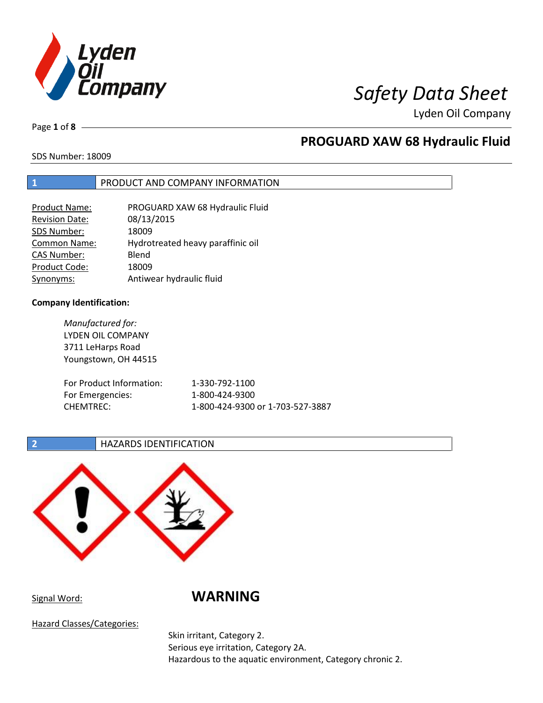

Page **1** of **8**

## **PROGUARD XAW 68 Hydraulic Fluid**

SDS Number: 18009

## **1** PRODUCT AND COMPANY INFORMATION

| <b>Product Name:</b>  | PROGUARD XAW 68 Hydraulic Fluid   |
|-----------------------|-----------------------------------|
| <b>Revision Date:</b> | 08/13/2015                        |
| SDS Number:           | 18009                             |
| <b>Common Name:</b>   | Hydrotreated heavy paraffinic oil |
| <b>CAS Number:</b>    | Blend                             |
| Product Code:         | 18009                             |
| Synonyms:             | Antiwear hydraulic fluid          |

### **Company Identification:**

*Manufactured for:* LYDEN OIL COMPANY 3711 LeHarps Road Youngstown, OH 44515 For Product Information: 1-330-792-1100 For Emergencies: 1-800-424-9300 CHEMTREC: 1-800-424-9300 or 1-703-527-3887

## **2 HAZARDS IDENTIFICATION**



Signal Word: **WARNING**

Hazard Classes/Categories:

Skin irritant, Category 2. Serious eye irritation, Category 2A. Hazardous to the aquatic environment, Category chronic 2.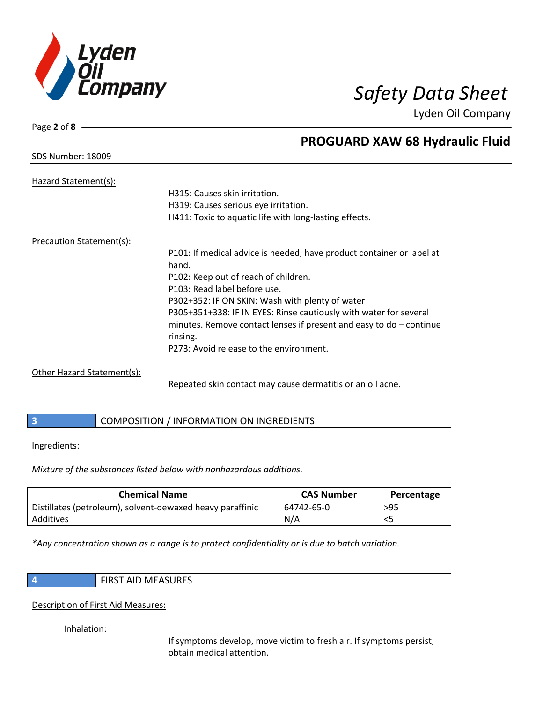

SDS Number: 18009

Page **2** of **8**

## **PROGUARD XAW 68 Hydraulic Fluid**

| Hazard Statement(s):       |                                                                       |
|----------------------------|-----------------------------------------------------------------------|
|                            | H315: Causes skin irritation.                                         |
|                            | H319: Causes serious eye irritation.                                  |
|                            | H411: Toxic to aquatic life with long-lasting effects.                |
| Precaution Statement(s):   |                                                                       |
|                            | P101: If medical advice is needed, have product container or label at |
|                            | hand.                                                                 |
|                            | P102: Keep out of reach of children.                                  |
|                            | P103: Read label before use.                                          |
|                            | P302+352: IF ON SKIN: Wash with plenty of water                       |
|                            | P305+351+338: IF IN EYES: Rinse cautiously with water for several     |
|                            | minutes. Remove contact lenses if present and easy to $do$ – continue |
|                            | rinsing.                                                              |
|                            | P273: Avoid release to the environment.                               |
| Other Hazard Statement(s): |                                                                       |

Repeated skin contact may cause dermatitis or an oil acne.

|  | COMPOSITION / INFORMATION ON INGREDIENTS |
|--|------------------------------------------|
|--|------------------------------------------|

### Ingredients:

*Mixture of the substances listed below with nonhazardous additions.*

| <b>Chemical Name</b>                                      | <b>CAS Number</b> | Percentage |
|-----------------------------------------------------------|-------------------|------------|
| Distillates (petroleum), solvent-dewaxed heavy paraffinic | 64742-65-0        | $>95$      |
| Additives                                                 | N/A               | $<$ 5      |

*\*Any concentration shown as a range is to protect confidentiality or is due to batch variation.*

**4** FIRST AID MEASURES

## Description of First Aid Measures:

Inhalation:

If symptoms develop, move victim to fresh air. If symptoms persist, obtain medical attention.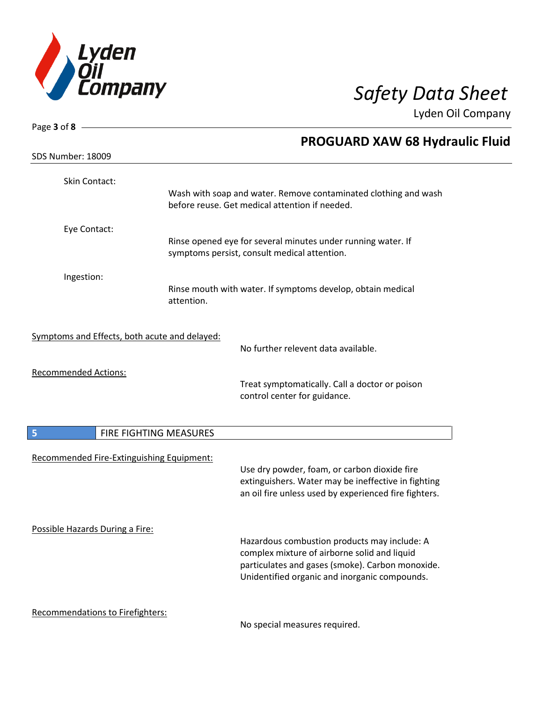

| Page 3 of 8                                   |                                                                                                                                                                                                   |
|-----------------------------------------------|---------------------------------------------------------------------------------------------------------------------------------------------------------------------------------------------------|
|                                               | <b>PROGUARD XAW 68 Hydraulic Fluid</b>                                                                                                                                                            |
| <b>SDS Number: 18009</b>                      |                                                                                                                                                                                                   |
| Skin Contact:                                 | Wash with soap and water. Remove contaminated clothing and wash<br>before reuse. Get medical attention if needed.                                                                                 |
| Eye Contact:                                  | Rinse opened eye for several minutes under running water. If<br>symptoms persist, consult medical attention.                                                                                      |
| Ingestion:                                    | Rinse mouth with water. If symptoms develop, obtain medical<br>attention.                                                                                                                         |
| Symptoms and Effects, both acute and delayed: | No further relevent data available.                                                                                                                                                               |
| <b>Recommended Actions:</b>                   | Treat symptomatically. Call a doctor or poison<br>control center for guidance.                                                                                                                    |
| FIRE FIGHTING MEASURES<br>5                   |                                                                                                                                                                                                   |
| Recommended Fire-Extinguishing Equipment:     | Use dry powder, foam, or carbon dioxide fire<br>extinguishers. Water may be ineffective in fighting<br>an oil fire unless used by experienced fire fighters.                                      |
| Possible Hazards During a Fire:               | Hazardous combustion products may include: A<br>complex mixture of airborne solid and liquid<br>particulates and gases (smoke). Carbon monoxide.<br>Unidentified organic and inorganic compounds. |
| <b>Recommendations to Firefighters:</b>       | No concial moacures required                                                                                                                                                                      |

No special measures required.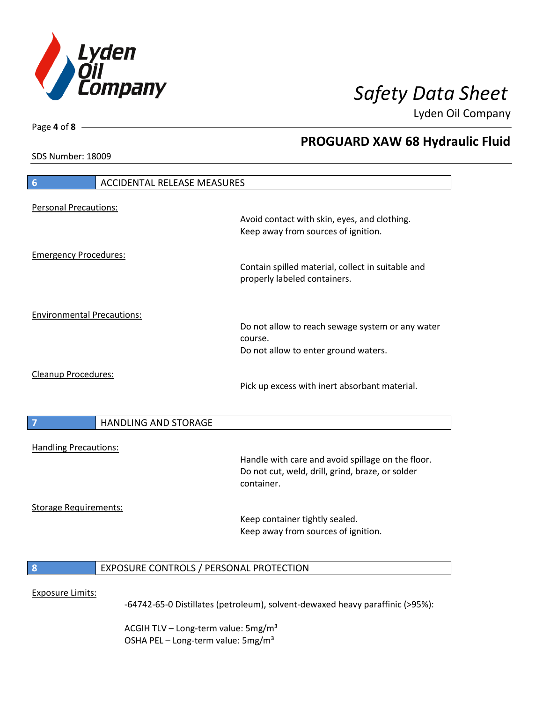

**PROGUARD XAW 68 Hydraulic Fluid**

Lyden Oil Company

SDS Number: 18009

Page **4** of **8**

# **6** ACCIDENTAL RELEASE MEASURES Personal Precautions: Avoid contact with skin, eyes, and clothing. Keep away from sources of ignition. Emergency Procedures: Contain spilled material, collect in suitable and properly labeled containers. Environmental Precautions: Do not allow to reach sewage system or any water course. Do not allow to enter ground waters. Cleanup Procedures: Pick up excess with inert absorbant material. **7 HANDLING AND STORAGE** Handling Precautions: Handle with care and avoid spillage on the floor. Do not cut, weld, drill, grind, braze, or solder container. Storage Requirements: Keep container tightly sealed. Keep away from sources of ignition. **8** EXPOSURE CONTROLS / PERSONAL PROTECTION Exposure Limits: -64742-65-0 Distillates (petroleum), solvent-dewaxed heavy paraffinic (>95%):

ACGIH TLV – Long-term value:  $5\,\text{mg/m}^3$ OSHA PEL - Long-term value: 5mg/m<sup>3</sup>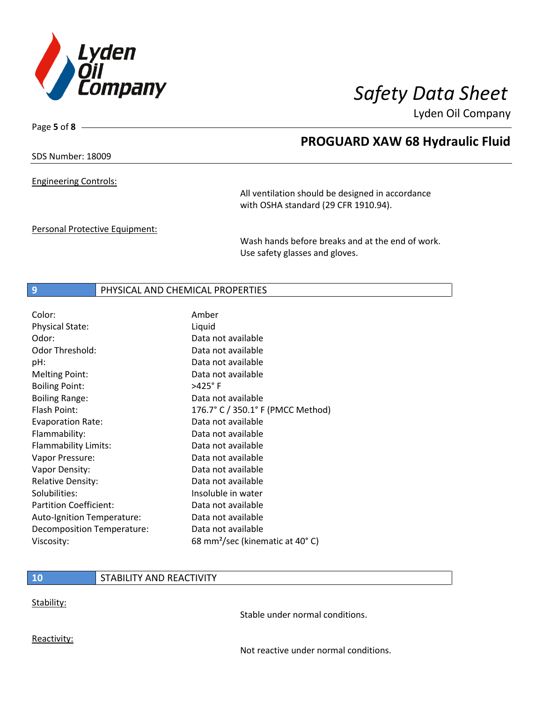

Page **5** of **8**

## **PROGUARD XAW 68 Hydraulic Fluid**

SDS Number: 18009

Engineering Controls:

All ventilation should be designed in accordance with OSHA standard (29 CFR 1910.94).

Personal Protective Equipment:

Wash hands before breaks and at the end of work. Use safety glasses and gloves.

### **9** PHYSICAL AND CHEMICAL PROPERTIES

| Color:                        | Amber                                       |
|-------------------------------|---------------------------------------------|
| <b>Physical State:</b>        | Liquid                                      |
| Odor:                         | Data not available                          |
| Odor Threshold:               | Data not available                          |
| pH:                           | Data not available                          |
| <b>Melting Point:</b>         | Data not available                          |
| <b>Boiling Point:</b>         | >425°F                                      |
| <b>Boiling Range:</b>         | Data not available                          |
| Flash Point:                  | 176.7° C / 350.1° F (PMCC Method)           |
| <b>Evaporation Rate:</b>      | Data not available                          |
| Flammability:                 | Data not available                          |
| Flammability Limits:          | Data not available                          |
| Vapor Pressure:               | Data not available                          |
| Vapor Density:                | Data not available                          |
| <b>Relative Density:</b>      | Data not available                          |
| Solubilities:                 | Insoluble in water                          |
| <b>Partition Coefficient:</b> | Data not available                          |
| Auto-Ignition Temperature:    | Data not available                          |
| Decomposition Temperature:    | Data not available                          |
| Viscosity:                    | 68 mm <sup>2</sup> /sec (kinematic at 40°C) |

### **10** STABILITY AND REACTIVITY

Stability:

Stable under normal conditions.

Reactivity:

Not reactive under normal conditions.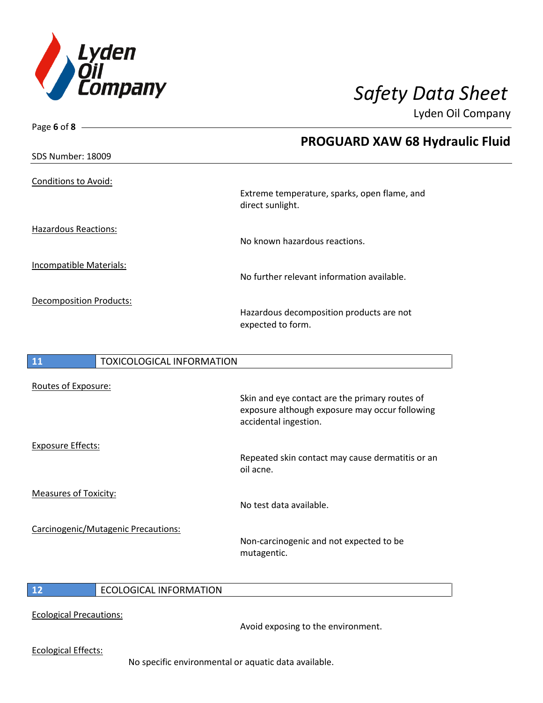

| <b>PROGUARD XAW 68 Hydraulic Fluid</b>                                                                                    |
|---------------------------------------------------------------------------------------------------------------------------|
|                                                                                                                           |
| Extreme temperature, sparks, open flame, and                                                                              |
| direct sunlight.                                                                                                          |
|                                                                                                                           |
| No known hazardous reactions.                                                                                             |
| No further relevant information available.                                                                                |
|                                                                                                                           |
| Hazardous decomposition products are not                                                                                  |
| expected to form.                                                                                                         |
|                                                                                                                           |
| <b>TOXICOLOGICAL INFORMATION</b>                                                                                          |
|                                                                                                                           |
| Skin and eye contact are the primary routes of<br>exposure although exposure may occur following<br>accidental ingestion. |
| Repeated skip contact may cause dermatitis or an                                                                          |
|                                                                                                                           |

Measures of Toxicity:

Carcinogenic/Mutagenic Precautions:

Repeated skin contact may cause dermatitis or an

No test data available.

oil acne.

Non-carcinogenic and not expected to be mutagentic.

 $\overline{\phantom{a}}$ 

**12** ECOLOGICAL INFORMATION

Ecological Precautions:

Avoid exposing to the environment.

Ecological Effects:

No specific environmental or aquatic data available.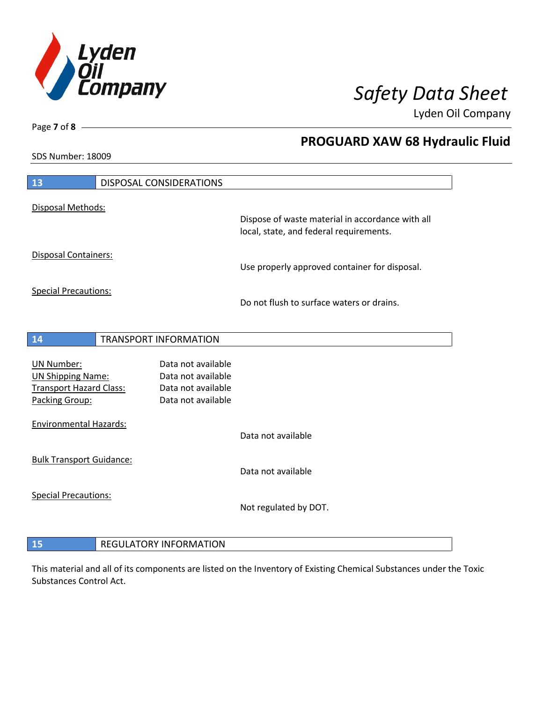

**PROGUARD XAW 68 Hydraulic Fluid**

Lyden Oil Company

SDS Number: 18009

Page **7** of **8**

| 13                                            | DISPOSAL CONSIDERATIONS       |                                                                                             |
|-----------------------------------------------|-------------------------------|---------------------------------------------------------------------------------------------|
| Disposal Methods:                             |                               |                                                                                             |
|                                               |                               | Dispose of waste material in accordance with all<br>local, state, and federal requirements. |
| Disposal Containers:                          |                               | Use properly approved container for disposal.                                               |
| <b>Special Precautions:</b>                   |                               |                                                                                             |
|                                               |                               | Do not flush to surface waters or drains.                                                   |
| 14                                            | <b>TRANSPORT INFORMATION</b>  |                                                                                             |
|                                               | Data not available            |                                                                                             |
| <b>UN Number:</b><br><b>UN Shipping Name:</b> | Data not available            |                                                                                             |
| <b>Transport Hazard Class:</b>                | Data not available            |                                                                                             |
| Packing Group:                                | Data not available            |                                                                                             |
| <b>Environmental Hazards:</b>                 |                               |                                                                                             |
|                                               |                               | Data not available                                                                          |
| <b>Bulk Transport Guidance:</b>               |                               | Data not available                                                                          |
|                                               |                               |                                                                                             |
| <b>Special Precautions:</b>                   |                               | Not regulated by DOT.                                                                       |
|                                               |                               |                                                                                             |
| 15                                            | <b>REGULATORY INFORMATION</b> |                                                                                             |

This material and all of its components are listed on the Inventory of Existing Chemical Substances under the Toxic Substances Control Act.